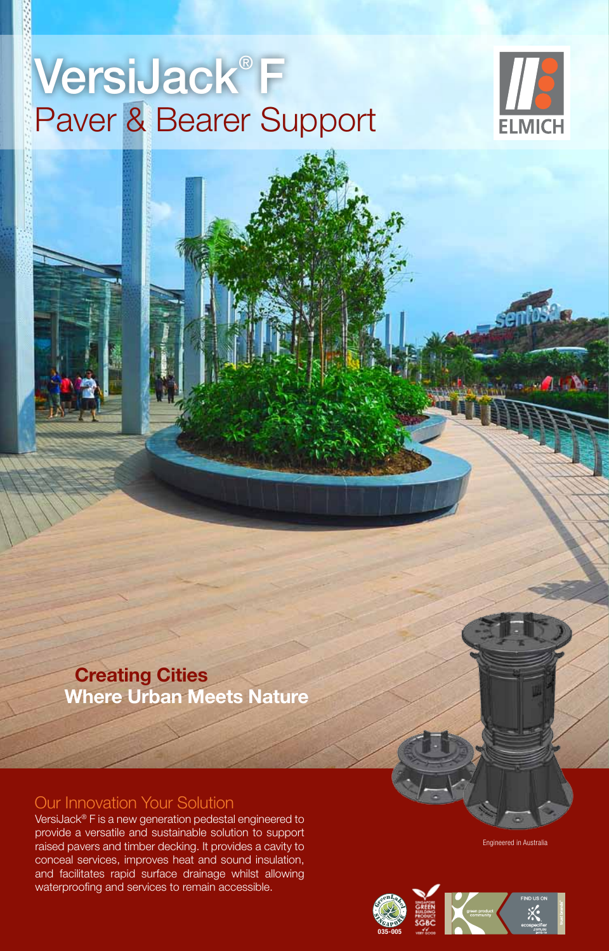## VersiJack® F Paver & Bearer Support



VersiJack® F Height Chart

 **Creating Cities Where Urban Meets Nature**

## Our Innovation Your Solution

VersiJack® F is a new generation pedestal engineered to provide a versatile and sustainable solution to support raised pavers and timber decking. It provides a cavity to conceal services, improves heat and sound insulation, and facilitates rapid surface drainage whilst allowing waterproofing and services to remain accessible.

Engineered in Australia

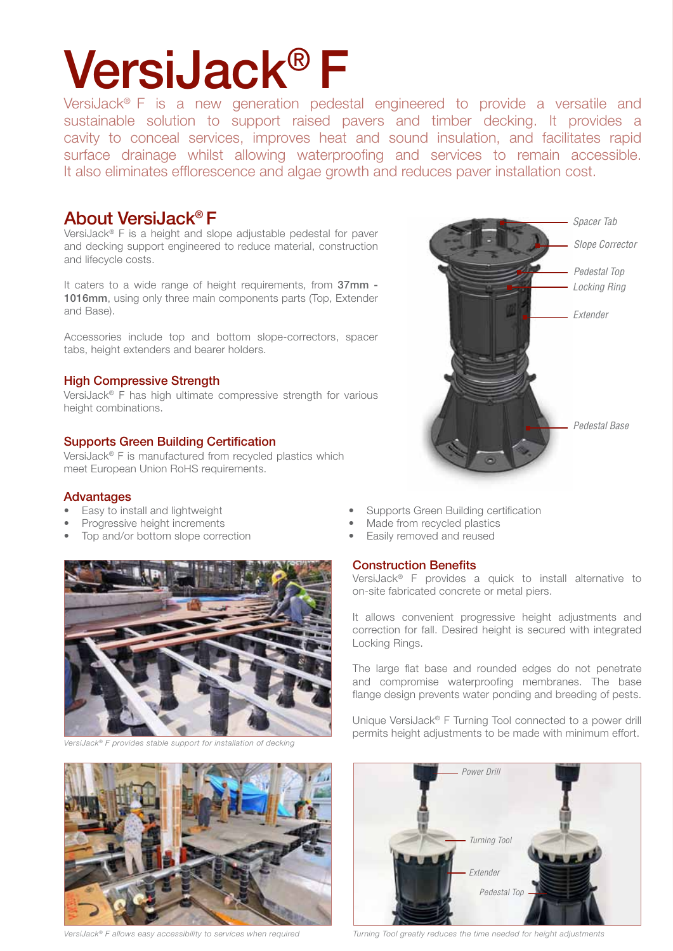# VersiJack® F

VersiJack® F is a new generation pedestal engineered to provide a versatile and sustainable solution to support raised pavers and timber decking. It provides a cavity to conceal services, improves heat and sound insulation, and facilitates rapid surface drainage whilst allowing waterproofing and services to remain accessible. It also eliminates efflorescence and algae growth and reduces paver installation cost.

### About VersiJack® F

VersiJack® F is a height and slope adjustable pedestal for paver and decking support engineered to reduce material, construction and lifecycle costs.

It caters to a wide range of height requirements, from 37mm -1016mm, using only three main components parts (Top, Extender and Base).

Accessories include top and bottom slope-correctors, spacer tabs, height extenders and bearer holders.

### High Compressive Strength

VersiJack® F has high ultimate compressive strength for various height combinations.

### Supports Green Building Certification

VersiJack® F is manufactured from recycled plastics which meet European Union RoHS requirements.

### Advantages

- 
- 
- Top and/or bottom slope correction Easily removed and reused



*VersiJack® F provides stable support for installation of decking* 



*VersiJack® F allows easy accessibility to services when required*

- Easy to install and lightweight Supports Green Building certification
- Progressive height increments Made from recycled plastics
	-

### Construction Benefits

VersiJack® F provides a quick to install alternative to on-site fabricated concrete or metal piers.

It allows convenient progressive height adjustments and correction for fall. Desired height is secured with integrated Locking Rings.

The large flat base and rounded edges do not penetrate and compromise waterproofing membranes. The base flange design prevents water ponding and breeding of pests.

Unique VersiJack® F Turning Tool connected to a power drill permits height adjustments to be made with minimum effort.



*Turning Tool greatly reduces the time needed for height adjustments*

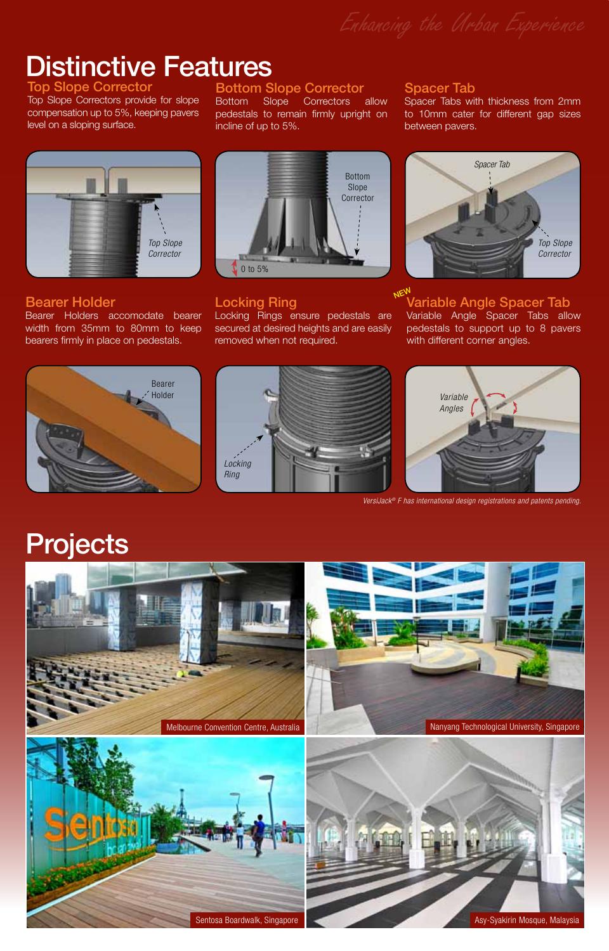Distinctive Features

Top Slope C Top Slope Correctors provide for slope compensation up to 5%, keeping pavers

level on a sloping surface.

### Bottom Slope Corrector

Bottom Slope Correctors allow pedestals to remain firmly upright on incline of up to 5%.

# *Top Slope Corrector*

### Bearer Holder

Bearer Holders accomodate bearer width from 35mm to 80mm to keep bearers firmly in place on pedestals.



### Locking Ring

Locking Rings ensure pedestals are secured at desired heights and are easily removed when not required.

### Spacer Tab

Spacer Tabs with thickness from 2mm to 10mm cater for different gap sizes between pavers.



#### Variable Angle Spacer Tab **NEW**

Variable Angle Spacer Tabs allow pedestals to support up to 8 pavers with different corner angles.







*VersiJack® F has international design registrations and patents pending.*

## Projects